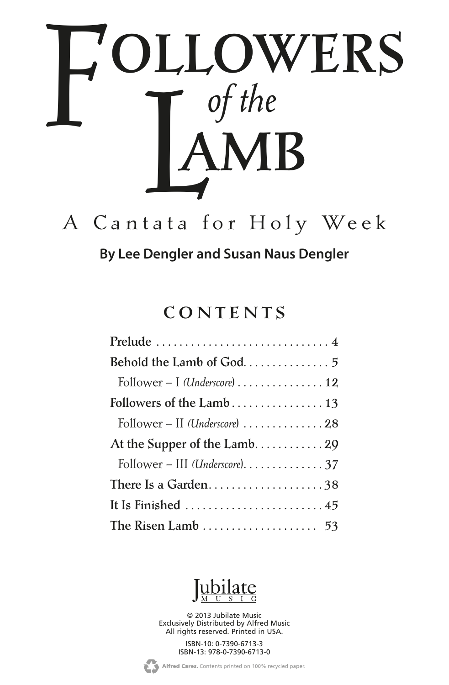

# A C antata for Holy Week

**By Lee Dengler and Susan Naus Dengler**

### CONTENTS

| Follower - II (Underscore) 28                                 |
|---------------------------------------------------------------|
| At the Supper of the Lamb29                                   |
| Follower - III (Underscore). $\ldots \ldots \ldots \ldots$ 37 |
| There Is a Garden38                                           |
| It Is Finished 45                                             |
|                                                               |



© 2013 Jubilate Music Exclusively Distributed by Alfred Music All rights reserved. Printed in USA.

> ISBN-10: 0-7390-6713-3 ISBN-13: 978-0-7390-6713-0

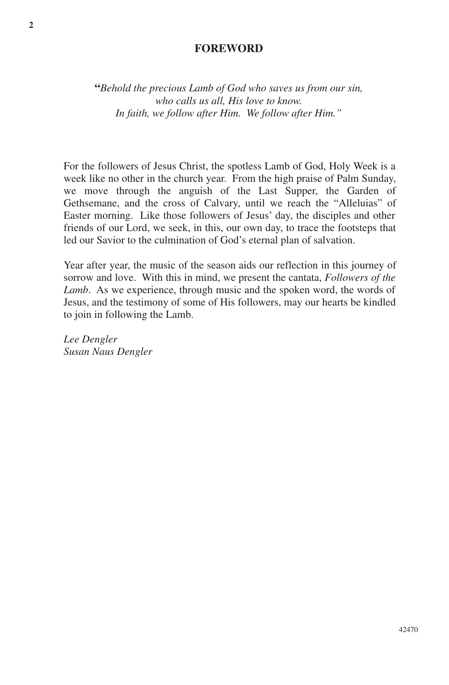#### **FOREWORD**

**"***Behold the precious Lamb of God who saves us from our sin, who calls us all, His love to know. In faith, we follow after Him. We follow after Him."*

For the followers of Jesus Christ, the spotless Lamb of God, Holy Week is a week like no other in the church year. From the high praise of Palm Sunday, we move through the anguish of the Last Supper, the Garden of Gethsemane, and the cross of Calvary, until we reach the "Alleluias" of Easter morning. Like those followers of Jesus' day, the disciples and other friends of our Lord, we seek, in this, our own day, to trace the footsteps that led our Savior to the culmination of God's eternal plan of salvation.

Year after year, the music of the season aids our reflection in this journey of sorrow and love. With this in mind, we present the cantata, *Followers of the Lamb*. As we experience, through music and the spoken word, the words of Jesus, and the testimony of some of His followers, may our hearts be kindled to join in following the Lamb.

*Lee Dengler Susan Naus Dengler*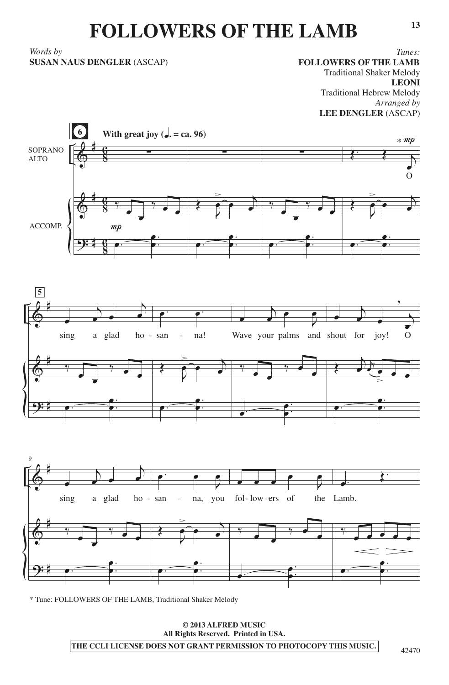## **FOLLOWERS OF THE LAMB**

*Words by*  **SUSAN NAUS DENGLER** (ASCAP)

*Tunes:* **FOLLOWERS OF THE LAMB** Traditional Shaker Melody **LEONI** Traditional Hebrew Melody *Arranged by* **LEE DENGLER** (ASCAP)



\* Tune: FOLLOWERS OF THE LAMB, Traditional Shaker Melody

**© 2013 ALFRED MUSIC All Rights Reserved. Printed in USA. THE CCLI LICENSE DOES NOT GRANT PERMISSION TO PHOTOCOPY THIS MUSIC.**